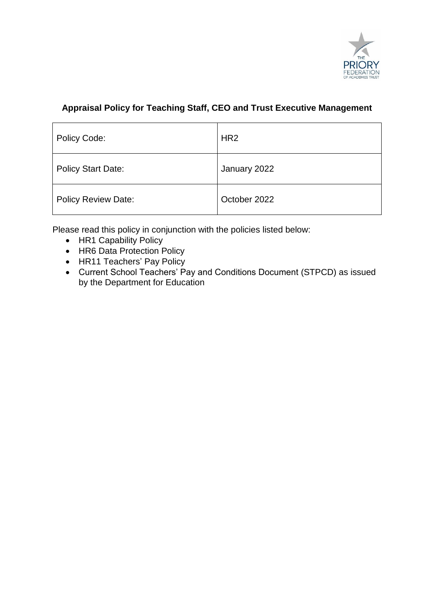

# **Appraisal Policy for Teaching Staff, CEO and Trust Executive Management**

| Policy Code:               | HR <sub>2</sub> |
|----------------------------|-----------------|
| <b>Policy Start Date:</b>  | January 2022    |
| <b>Policy Review Date:</b> | October 2022    |

Please read this policy in conjunction with the policies listed below:

- HR1 Capability Policy
- HR6 Data Protection Policy
- HR11 Teachers' Pay Policy
- Current School Teachers' Pay and Conditions Document (STPCD) as issued by the Department for Education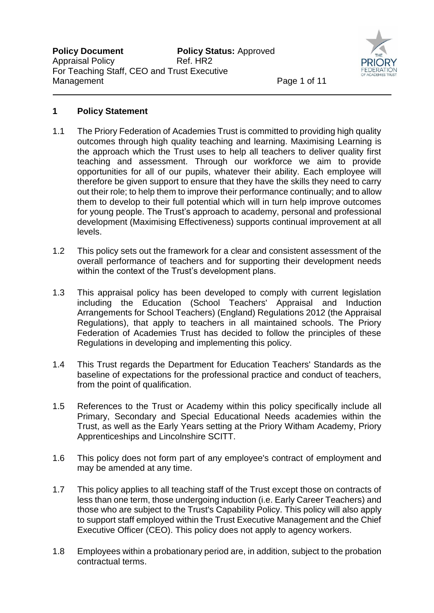

### **1 Policy Statement**

- 1.1 The Priory Federation of Academies Trust is committed to providing high quality outcomes through high quality teaching and learning. Maximising Learning is the approach which the Trust uses to help all teachers to deliver quality first teaching and assessment. Through our workforce we aim to provide opportunities for all of our pupils, whatever their ability. Each employee will therefore be given support to ensure that they have the skills they need to carry out their role; to help them to improve their performance continually; and to allow them to develop to their full potential which will in turn help improve outcomes for young people. The Trust's approach to academy, personal and professional development (Maximising Effectiveness) supports continual improvement at all levels.
- 1.2 This policy sets out the framework for a clear and consistent assessment of the overall performance of teachers and for supporting their development needs within the context of the Trust's development plans.
- 1.3 This appraisal policy has been developed to comply with current legislation including the Education (School Teachers' Appraisal and Induction Arrangements for School Teachers) (England) Regulations 2012 (the Appraisal Regulations), that apply to teachers in all maintained schools. The Priory Federation of Academies Trust has decided to follow the principles of these Regulations in developing and implementing this policy.
- 1.4 This Trust regards the Department for Education Teachers' Standards as the baseline of expectations for the professional practice and conduct of teachers, from the point of qualification.
- 1.5 References to the Trust or Academy within this policy specifically include all Primary, Secondary and Special Educational Needs academies within the Trust, as well as the Early Years setting at the Priory Witham Academy, Priory Apprenticeships and Lincolnshire SCITT.
- 1.6 This policy does not form part of any employee's contract of employment and may be amended at any time.
- 1.7 This policy applies to all teaching staff of the Trust except those on contracts of less than one term, those undergoing induction (i.e. Early Career Teachers) and those who are subject to the Trust's Capability Policy. This policy will also apply to support staff employed within the Trust Executive Management and the Chief Executive Officer (CEO). This policy does not apply to agency workers.
- 1.8 Employees within a probationary period are, in addition, subject to the probation contractual terms.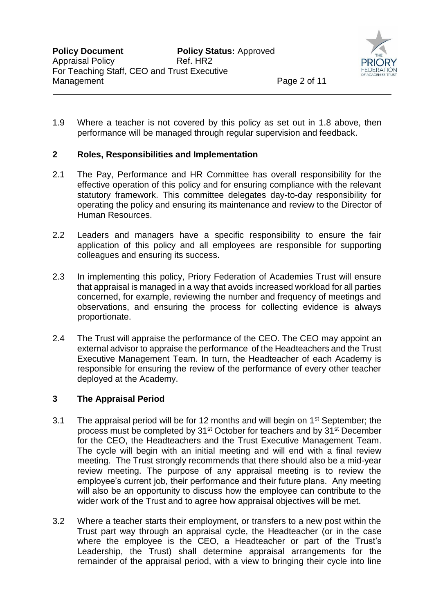

1.9 Where a teacher is not covered by this policy as set out in 1.8 above, then performance will be managed through regular supervision and feedback.

### **2 Roles, Responsibilities and Implementation**

- 2.1 The Pay, Performance and HR Committee has overall responsibility for the effective operation of this policy and for ensuring compliance with the relevant statutory framework. This committee delegates day-to-day responsibility for operating the policy and ensuring its maintenance and review to the Director of Human Resources.
- 2.2 Leaders and managers have a specific responsibility to ensure the fair application of this policy and all employees are responsible for supporting colleagues and ensuring its success.
- 2.3 In implementing this policy, Priory Federation of Academies Trust will ensure that appraisal is managed in a way that avoids increased workload for all parties concerned, for example, reviewing the number and frequency of meetings and observations, and ensuring the process for collecting evidence is always proportionate.
- 2.4 The Trust will appraise the performance of the CEO. The CEO may appoint an external advisor to appraise the performance of the Headteachers and the Trust Executive Management Team. In turn, the Headteacher of each Academy is responsible for ensuring the review of the performance of every other teacher deployed at the Academy.

### **3 The Appraisal Period**

- 3.1 The appraisal period will be for 12 months and will begin on  $1<sup>st</sup>$  September; the process must be completed by 31st October for teachers and by 31st December for the CEO, the Headteachers and the Trust Executive Management Team. The cycle will begin with an initial meeting and will end with a final review meeting. The Trust strongly recommends that there should also be a mid-year review meeting. The purpose of any appraisal meeting is to review the employee's current job, their performance and their future plans. Any meeting will also be an opportunity to discuss how the employee can contribute to the wider work of the Trust and to agree how appraisal objectives will be met.
- 3.2 Where a teacher starts their employment, or transfers to a new post within the Trust part way through an appraisal cycle, the Headteacher (or in the case where the employee is the CEO, a Headteacher or part of the Trust's Leadership, the Trust) shall determine appraisal arrangements for the remainder of the appraisal period, with a view to bringing their cycle into line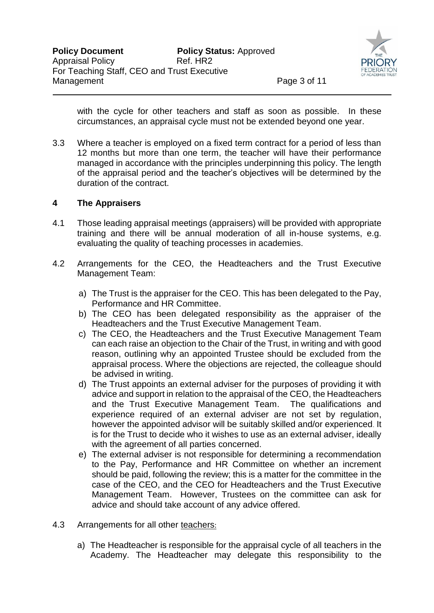

with the cycle for other teachers and staff as soon as possible. In these circumstances, an appraisal cycle must not be extended beyond one year.

3.3 Where a teacher is employed on a fixed term contract for a period of less than 12 months but more than one term, the teacher will have their performance managed in accordance with the principles underpinning this policy. The length of the appraisal period and the teacher's objectives will be determined by the duration of the contract.

### **4 The Appraisers**

- 4.1 Those leading appraisal meetings (appraisers) will be provided with appropriate training and there will be annual moderation of all in-house systems, e.g. evaluating the quality of teaching processes in academies.
- 4.2 Arrangements for the CEO, the Headteachers and the Trust Executive Management Team:
	- a) The Trust is the appraiser for the CEO. This has been delegated to the Pay, Performance and HR Committee.
	- b) The CEO has been delegated responsibility as the appraiser of the Headteachers and the Trust Executive Management Team.
	- c) The CEO, the Headteachers and the Trust Executive Management Team can each raise an objection to the Chair of the Trust, in writing and with good reason, outlining why an appointed Trustee should be excluded from the appraisal process. Where the objections are rejected, the colleague should be advised in writing.
	- d) The Trust appoints an external adviser for the purposes of providing it with advice and support in relation to the appraisal of the CEO, the Headteachers and the Trust Executive Management Team. The qualifications and experience required of an external adviser are not set by regulation, however the appointed advisor will be suitably skilled and/or experienced. It is for the Trust to decide who it wishes to use as an external adviser, ideally with the agreement of all parties concerned.
	- e) The external adviser is not responsible for determining a recommendation to the Pay, Performance and HR Committee on whether an increment should be paid, following the review; this is a matter for the committee in the case of the CEO, and the CEO for Headteachers and the Trust Executive Management Team. However, Trustees on the committee can ask for advice and should take account of any advice offered.
- 4.3 Arrangements for all other teachers:
	- a) The Headteacher is responsible for the appraisal cycle of all teachers in the Academy. The Headteacher may delegate this responsibility to the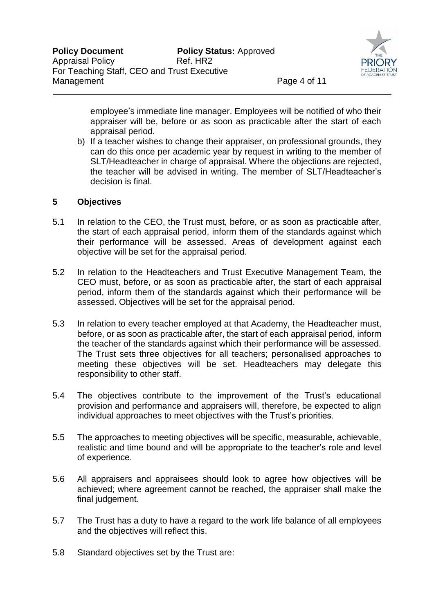

employee's immediate line manager. Employees will be notified of who their appraiser will be, before or as soon as practicable after the start of each appraisal period.

b) If a teacher wishes to change their appraiser, on professional grounds, they can do this once per academic year by request in writing to the member of SLT/Headteacher in charge of appraisal. Where the objections are rejected, the teacher will be advised in writing. The member of SLT/Headteacher's decision is final.

### **5 Objectives**

- 5.1 In relation to the CEO, the Trust must, before, or as soon as practicable after, the start of each appraisal period, inform them of the standards against which their performance will be assessed. Areas of development against each objective will be set for the appraisal period.
- 5.2 In relation to the Headteachers and Trust Executive Management Team, the CEO must, before, or as soon as practicable after, the start of each appraisal period, inform them of the standards against which their performance will be assessed. Objectives will be set for the appraisal period.
- 5.3 In relation to every teacher employed at that Academy, the Headteacher must, before, or as soon as practicable after, the start of each appraisal period, inform the teacher of the standards against which their performance will be assessed. The Trust sets three objectives for all teachers; personalised approaches to meeting these objectives will be set. Headteachers may delegate this responsibility to other staff.
- 5.4 The objectives contribute to the improvement of the Trust's educational provision and performance and appraisers will, therefore, be expected to align individual approaches to meet objectives with the Trust's priorities.
- 5.5 The approaches to meeting objectives will be specific, measurable, achievable, realistic and time bound and will be appropriate to the teacher's role and level of experience.
- 5.6 All appraisers and appraisees should look to agree how objectives will be achieved; where agreement cannot be reached, the appraiser shall make the final judgement.
- 5.7 The Trust has a duty to have a regard to the work life balance of all employees and the objectives will reflect this.
- 5.8 Standard objectives set by the Trust are: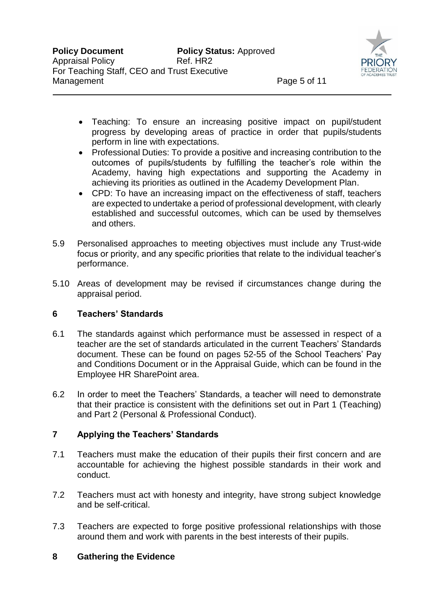

- Teaching: To ensure an increasing positive impact on pupil/student progress by developing areas of practice in order that pupils/students perform in line with expectations.
- Professional Duties: To provide a positive and increasing contribution to the outcomes of pupils/students by fulfilling the teacher's role within the Academy, having high expectations and supporting the Academy in achieving its priorities as outlined in the Academy Development Plan.
- CPD: To have an increasing impact on the effectiveness of staff, teachers are expected to undertake a period of professional development, with clearly established and successful outcomes, which can be used by themselves and others.
- 5.9 Personalised approaches to meeting objectives must include any Trust-wide focus or priority, and any specific priorities that relate to the individual teacher's performance.
- 5.10 Areas of development may be revised if circumstances change during the appraisal period.

## **6 Teachers' Standards**

- 6.1 The standards against which performance must be assessed in respect of a teacher are the set of standards articulated in the current Teachers' Standards document. These can be found on pages 52-55 of the School Teachers' Pay and Conditions Document or in the Appraisal Guide, which can be found in the Employee HR SharePoint area.
- 6.2 In order to meet the Teachers' Standards, a teacher will need to demonstrate that their practice is consistent with the definitions set out in Part 1 (Teaching) and Part 2 (Personal & Professional Conduct).

## **7 Applying the Teachers' Standards**

- 7.1 Teachers must make the education of their pupils their first concern and are accountable for achieving the highest possible standards in their work and conduct.
- 7.2 Teachers must act with honesty and integrity, have strong subject knowledge and be self-critical.
- 7.3 Teachers are expected to forge positive professional relationships with those around them and work with parents in the best interests of their pupils.

## **8 Gathering the Evidence**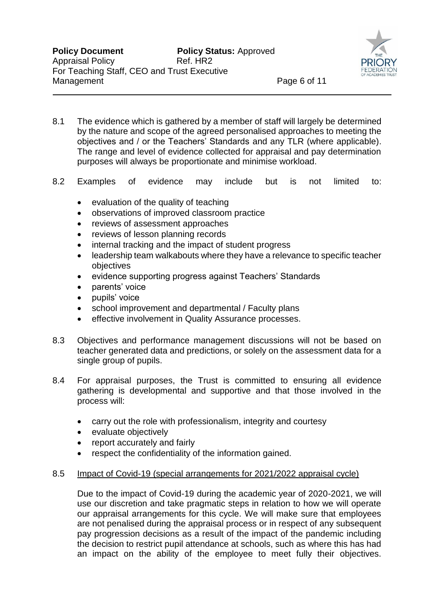

- 8.1 The evidence which is gathered by a member of staff will largely be determined by the nature and scope of the agreed personalised approaches to meeting the objectives and / or the Teachers' Standards and any TLR (where applicable). The range and level of evidence collected for appraisal and pay determination purposes will always be proportionate and minimise workload.
- 8.2 Examples of evidence may include but is not limited to:
	- evaluation of the quality of teaching
	- observations of improved classroom practice
	- reviews of assessment approaches
	- reviews of lesson planning records
	- internal tracking and the impact of student progress
	- leadership team walkabouts where they have a relevance to specific teacher objectives
	- evidence supporting progress against Teachers' Standards
	- parents' voice
	- pupils' voice
	- school improvement and departmental / Faculty plans
	- effective involvement in Quality Assurance processes.
- 8.3 Objectives and performance management discussions will not be based on teacher generated data and predictions, or solely on the assessment data for a single group of pupils.
- 8.4 For appraisal purposes, the Trust is committed to ensuring all evidence gathering is developmental and supportive and that those involved in the process will:
	- carry out the role with professionalism, integrity and courtesy
	- evaluate objectively
	- report accurately and fairly
	- respect the confidentiality of the information gained.

#### 8.5 Impact of Covid-19 (special arrangements for 2021/2022 appraisal cycle)

Due to the impact of Covid-19 during the academic year of 2020-2021, we will use our discretion and take pragmatic steps in relation to how we will operate our appraisal arrangements for this cycle. We will make sure that employees are not penalised during the appraisal process or in respect of any subsequent pay progression decisions as a result of the impact of the pandemic including the decision to restrict pupil attendance at schools, such as where this has had an impact on the ability of the employee to meet fully their objectives.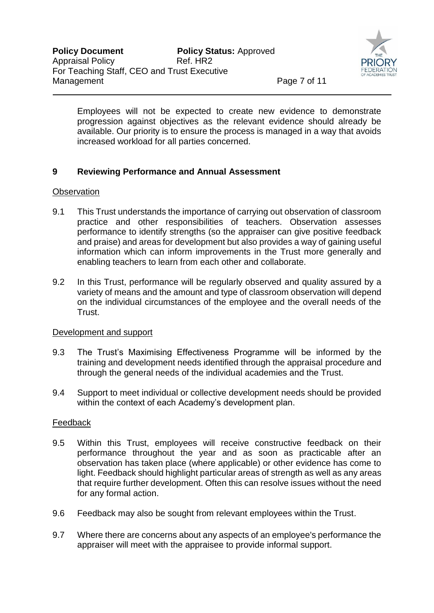

Employees will not be expected to create new evidence to demonstrate progression against objectives as the relevant evidence should already be available. Our priority is to ensure the process is managed in a way that avoids increased workload for all parties concerned.

## **9 Reviewing Performance and Annual Assessment**

#### **Observation**

- 9.1 This Trust understands the importance of carrying out observation of classroom practice and other responsibilities of teachers. Observation assesses performance to identify strengths (so the appraiser can give positive feedback and praise) and areas for development but also provides a way of gaining useful information which can inform improvements in the Trust more generally and enabling teachers to learn from each other and collaborate.
- 9.2 In this Trust, performance will be regularly observed and quality assured by a variety of means and the amount and type of classroom observation will depend on the individual circumstances of the employee and the overall needs of the Trust.

### Development and support

- 9.3 The Trust's Maximising Effectiveness Programme will be informed by the training and development needs identified through the appraisal procedure and through the general needs of the individual academies and the Trust.
- 9.4 Support to meet individual or collective development needs should be provided within the context of each Academy's development plan.

#### Feedback

- 9.5 Within this Trust, employees will receive constructive feedback on their performance throughout the year and as soon as practicable after an observation has taken place (where applicable) or other evidence has come to light. Feedback should highlight particular areas of strength as well as any areas that require further development. Often this can resolve issues without the need for any formal action.
- 9.6 Feedback may also be sought from relevant employees within the Trust.
- 9.7 Where there are concerns about any aspects of an employee's performance the appraiser will meet with the appraisee to provide informal support.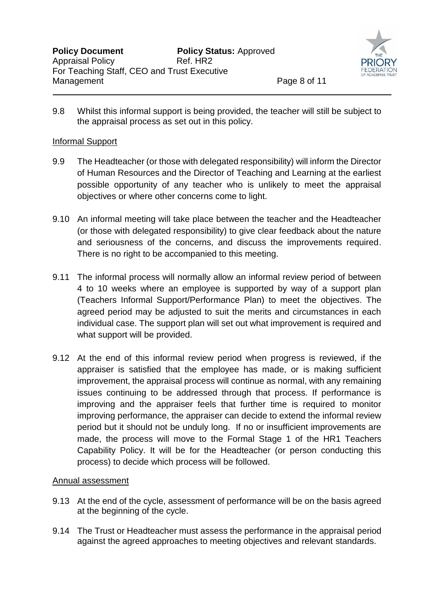

9.8 Whilst this informal support is being provided, the teacher will still be subject to the appraisal process as set out in this policy.

#### Informal Support

- 9.9 The Headteacher (or those with delegated responsibility) will inform the Director of Human Resources and the Director of Teaching and Learning at the earliest possible opportunity of any teacher who is unlikely to meet the appraisal objectives or where other concerns come to light.
- 9.10 An informal meeting will take place between the teacher and the Headteacher (or those with delegated responsibility) to give clear feedback about the nature and seriousness of the concerns, and discuss the improvements required. There is no right to be accompanied to this meeting.
- 9.11 The informal process will normally allow an informal review period of between 4 to 10 weeks where an employee is supported by way of a support plan (Teachers Informal Support/Performance Plan) to meet the objectives. The agreed period may be adjusted to suit the merits and circumstances in each individual case. The support plan will set out what improvement is required and what support will be provided.
- 9.12 At the end of this informal review period when progress is reviewed, if the appraiser is satisfied that the employee has made, or is making sufficient improvement, the appraisal process will continue as normal, with any remaining issues continuing to be addressed through that process. If performance is improving and the appraiser feels that further time is required to monitor improving performance, the appraiser can decide to extend the informal review period but it should not be unduly long. If no or insufficient improvements are made, the process will move to the Formal Stage 1 of the HR1 Teachers Capability Policy. It will be for the Headteacher (or person conducting this process) to decide which process will be followed.

### Annual assessment

- 9.13 At the end of the cycle, assessment of performance will be on the basis agreed at the beginning of the cycle.
- 9.14 The Trust or Headteacher must assess the performance in the appraisal period against the agreed approaches to meeting objectives and relevant standards.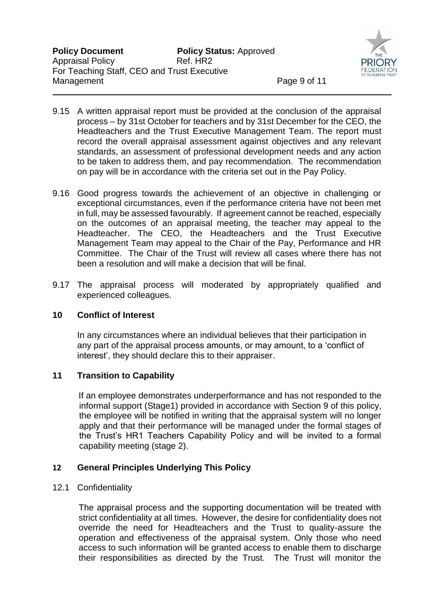

- 9.15 A written appraisal report must be provided at the conclusion of the appraisal process – by 31st October for teachers and by 31st December for the CEO, the Headteachers and the Trust Executive Management Team. The report must record the overall appraisal assessment against objectives and any relevant standards, an assessment of professional development needs and any action to be taken to address them, and pay recommendation. The recommendation on pay will be in accordance with the criteria set out in the Pay Policy.
- 9.16 Good progress towards the achievement of an objective in challenging or exceptional circumstances, even if the performance criteria have not been met in full, may be assessed favourably. If agreement cannot be reached, especially on the outcomes of an appraisal meeting, the teacher may appeal to the Headteacher. The CEO, the Headteachers and the Trust Executive Management Team may appeal to the Chair of the Pay, Performance and HR Committee. The Chair of the Trust will review all cases where there has not been a resolution and will make a decision that will be final.
- 9.17 The appraisal process will moderated by appropriately qualified and experienced colleagues.

### **10 Conflict of Interest**

In any circumstances where an individual believes that their participation in any part of the appraisal process amounts, or may amount, to a 'conflict of interest', they should declare this to their appraiser.

## **11 Transition to Capability**

If an employee demonstrates underperformance and has not responded to the informal support (Stage1) provided in accordance with Section 9 of this policy, the employee will be notified in writing that the appraisal system will no longer apply and that their performance will be managed under the formal stages of the Trust's HR1 Teachers Capability Policy and will be invited to a formal capability meeting (stage 2).

## **12 General Principles Underlying This Policy**

### 12.1 Confidentiality

The appraisal process and the supporting documentation will be treated with strict confidentiality at all times. However, the desire for confidentiality does not override the need for Headteachers and the Trust to quality-assure the operation and effectiveness of the appraisal system. Only those who need access to such information will be granted access to enable them to discharge their responsibilities as directed by the Trust. The Trust will monitor the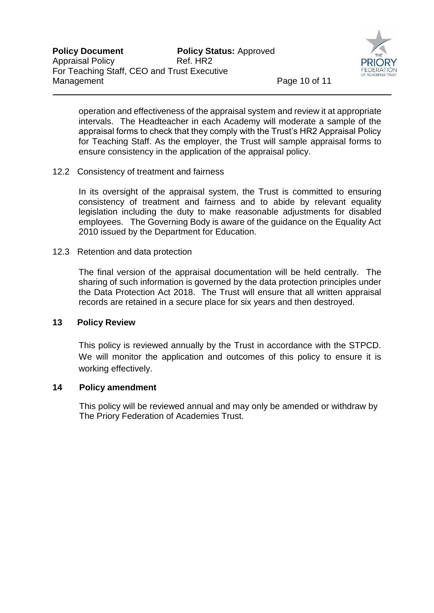

operation and effectiveness of the appraisal system and review it at appropriate intervals. The Headteacher in each Academy will moderate a sample of the appraisal forms to check that they comply with the Trust's HR2 Appraisal Policy for Teaching Staff. As the employer, the Trust will sample appraisal forms to ensure consistency in the application of the appraisal policy.

12.2 Consistency of treatment and fairness

In its oversight of the appraisal system, the Trust is committed to ensuring consistency of treatment and fairness and to abide by relevant equality legislation including the duty to make reasonable adjustments for disabled employees. The Governing Body is aware of the guidance on the Equality Act 2010 issued by the Department for Education.

12.3 Retention and data protection

The final version of the appraisal documentation will be held centrally. The sharing of such information is governed by the data protection principles under the Data Protection Act 2018. The Trust will ensure that all written appraisal records are retained in a secure place for six years and then destroyed.

### **13 Policy Review**

This policy is reviewed annually by the Trust in accordance with the STPCD. We will monitor the application and outcomes of this policy to ensure it is working effectively.

## **14 Policy amendment**

 This policy will be reviewed annual and may only be amended or withdraw by The Priory Federation of Academies Trust.